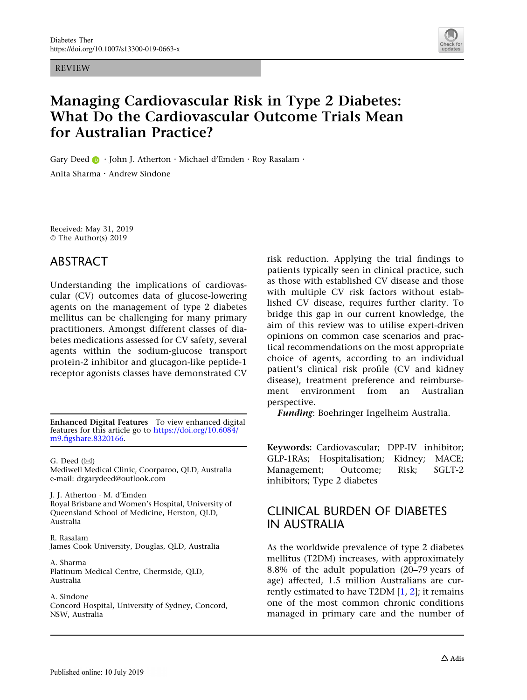REVIEW



# Managing Cardiovascular Risk in Type 2 Diabetes: What Do the Cardiovascular Outcome Trials Mean for Australian Practice?

Gary Dee[d](http://orcid.org/0000-0001-6914-0982)  $\bigcirc$  · John J. Atherton · Michael d'Emden · Roy Rasalam · Anita Sharma . Andrew Sindone

Received: May 31, 2019 © The Author(s) 2019

### ABSTRACT

Understanding the implications of cardiovascular (CV) outcomes data of glucose-lowering agents on the management of type 2 diabetes mellitus can be challenging for many primary practitioners. Amongst different classes of diabetes medications assessed for CV safety, several agents within the sodium-glucose transport protein-2 inhibitor and glucagon-like peptide-1 receptor agonists classes have demonstrated CV

Enhanced Digital Features To view enhanced digital features for this article go to [https://doi.org/10.6084/](https://doi.org/10.6084/m9.figshare.8320166) [m9.figshare.8320166.](https://doi.org/10.6084/m9.figshare.8320166)

G. Deed  $(\boxtimes)$ Mediwell Medical Clinic, Coorparoo, QLD, Australia e-mail: drgarydeed@outlook.com

J. J. Atherton - M. d'Emden Royal Brisbane and Women's Hospital, University of Queensland School of Medicine, Herston, QLD, Australia

R. Rasalam James Cook University, Douglas, QLD, Australia

A. Sharma Platinum Medical Centre, Chermside, QLD, Australia

A. Sindone Concord Hospital, University of Sydney, Concord, NSW, Australia

risk reduction. Applying the trial findings to patients typically seen in clinical practice, such as those with established CV disease and those with multiple CV risk factors without established CV disease, requires further clarity. To bridge this gap in our current knowledge, the aim of this review was to utilise expert-driven opinions on common case scenarios and practical recommendations on the most appropriate choice of agents, according to an individual patient's clinical risk profile (CV and kidney disease), treatment preference and reimbursement environment from an Australian perspective.

Funding: Boehringer Ingelheim Australia.

Keywords: Cardiovascular; DPP-IV inhibitor; GLP-1RAs; Hospitalisation; Kidney; MACE; Management; Outcome; Risk; SGLT-2 inhibitors; Type 2 diabetes

### CLINICAL BURDEN OF DIABETES IN AUSTRALIA

As the worldwide prevalence of type 2 diabetes mellitus (T2DM) increases, with approximately 8.8% of the adult population (20–79 years of age) affected, 1.5 million Australians are currently estimated to have T2DM [\[1,](#page-15-0) [2](#page-15-0)]; it remains one of the most common chronic conditions managed in primary care and the number of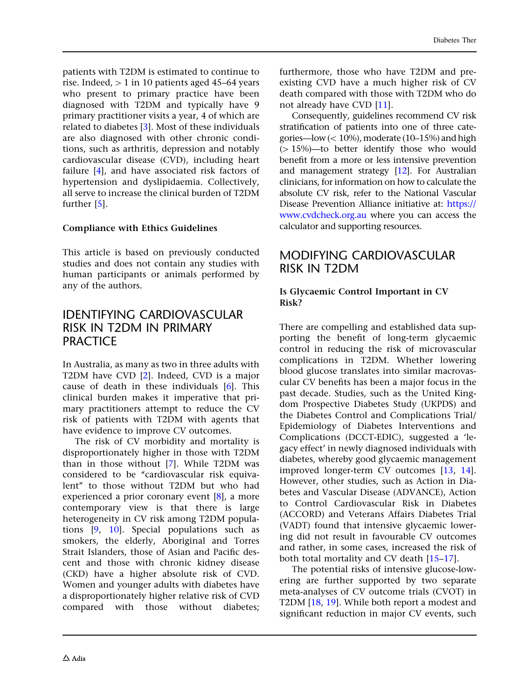patients with T2DM is estimated to continue to rise. Indeed,  $>1$  in 10 patients aged 45–64 years who present to primary practice have been diagnosed with T2DM and typically have 9 primary practitioner visits a year, 4 of which are related to diabetes [[3](#page-15-0)]. Most of these individuals are also diagnosed with other chronic conditions, such as arthritis, depression and notably cardiovascular disease (CVD), including heart failure [[4](#page-15-0)], and have associated risk factors of hypertension and dyslipidaemia. Collectively, all serve to increase the clinical burden of T2DM further [\[5\]](#page-15-0).

#### Compliance with Ethics Guidelines

This article is based on previously conducted studies and does not contain any studies with human participants or animals performed by any of the authors.

### IDENTIFYING CARDIOVASCULAR RISK IN T2DM IN PRIMARY **PRACTICE**

In Australia, as many as two in three adults with T2DM have CVD [[2](#page-15-0)]. Indeed, CVD is a major cause of death in these individuals [[6](#page-15-0)]. This clinical burden makes it imperative that primary practitioners attempt to reduce the CV risk of patients with T2DM with agents that have evidence to improve CV outcomes.

The risk of CV morbidity and mortality is disproportionately higher in those with T2DM than in those without [\[7](#page-15-0)]. While T2DM was considered to be ''cardiovascular risk equivalent'' to those without T2DM but who had experienced a prior coronary event [[8](#page-15-0)], a more contemporary view is that there is large heterogeneity in CV risk among T2DM populations [\[9,](#page-15-0) [10\]](#page-15-0). Special populations such as smokers, the elderly, Aboriginal and Torres Strait Islanders, those of Asian and Pacific descent and those with chronic kidney disease (CKD) have a higher absolute risk of CVD. Women and younger adults with diabetes have a disproportionately higher relative risk of CVD compared with those without diabetes; furthermore, those who have T2DM and preexisting CVD have a much higher risk of CV death compared with those with T2DM who do not already have CVD [\[11\]](#page-15-0).

Consequently, guidelines recommend CV risk stratification of patients into one of three categories—low  $(< 10\%)$ , moderate (10–15%) and high  $(>15%)$ —to better identify those who would benefit from a more or less intensive prevention and management strategy [\[12](#page-15-0)]. For Australian clinicians, for information on how to calculate the absolute CV risk, refer to the National Vascular Disease Prevention Alliance initiative at: [https://](https://www.cvdcheck.org.au) [www.cvdcheck.org.au](https://www.cvdcheck.org.au) where you can access the calculator and supporting resources.

### MODIFYING CARDIOVASCULAR RISK IN T2DM

#### Is Glycaemic Control Important in CV Risk?

There are compelling and established data supporting the benefit of long-term glycaemic control in reducing the risk of microvascular complications in T2DM. Whether lowering blood glucose translates into similar macrovascular CV benefits has been a major focus in the past decade. Studies, such as the United Kingdom Prospective Diabetes Study (UKPDS) and the Diabetes Control and Complications Trial/ Epidemiology of Diabetes Interventions and Complications (DCCT-EDIC), suggested a 'legacy effect' in newly diagnosed individuals with diabetes, whereby good glycaemic management improved longer-term CV outcomes [\[13,](#page-15-0) [14](#page-15-0)]. However, other studies, such as Action in Diabetes and Vascular Disease (ADVANCE), Action to Control Cardiovascular Risk in Diabetes (ACCORD) and Veterans Affairs Diabetes Trial (VADT) found that intensive glycaemic lowering did not result in favourable CV outcomes and rather, in some cases, increased the risk of both total mortality and CV death [\[15–](#page-15-0)[17](#page-16-0)].

The potential risks of intensive glucose-lowering are further supported by two separate meta-analyses of CV outcome trials (CVOT) in T2DM [\[18,](#page-16-0) [19\]](#page-16-0). While both report a modest and significant reduction in major CV events, such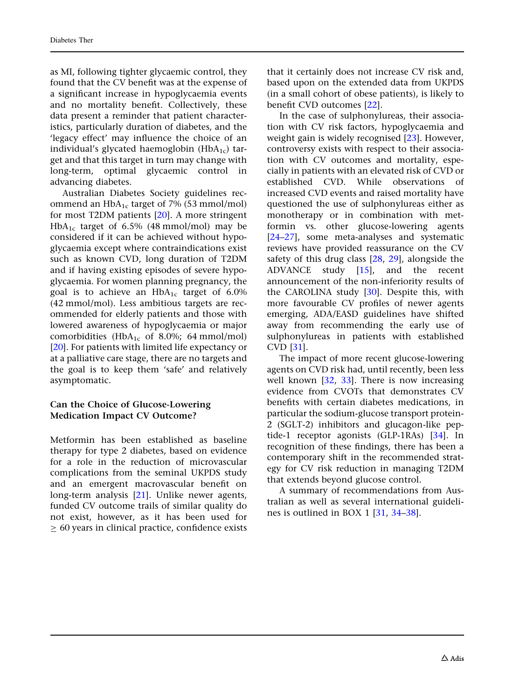as MI, following tighter glycaemic control, they found that the CV benefit was at the expense of a significant increase in hypoglycaemia events and no mortality benefit. Collectively, these data present a reminder that patient characteristics, particularly duration of diabetes, and the 'legacy effect' may influence the choice of an individual's glycated haemoglobin  $(HbA_{1c})$  target and that this target in turn may change with long-term, optimal glycaemic control in advancing diabetes.

Australian Diabetes Society guidelines recommend an  $HbA_{1c}$  target of 7% (53 mmol/mol) for most T2DM patients [[20\]](#page-16-0). A more stringent  $HbA_{1c}$  target of 6.5% (48 mmol/mol) may be considered if it can be achieved without hypoglycaemia except where contraindications exist such as known CVD, long duration of T2DM and if having existing episodes of severe hypoglycaemia. For women planning pregnancy, the goal is to achieve an  $HbA_{1c}$  target of 6.0% (42 mmol/mol). Less ambitious targets are recommended for elderly patients and those with lowered awareness of hypoglycaemia or major comorbidities (HbA<sub>1c</sub> of 8.0%; 64 mmol/mol) [\[20](#page-16-0)]. For patients with limited life expectancy or at a palliative care stage, there are no targets and the goal is to keep them 'safe' and relatively asymptomatic.

#### Can the Choice of Glucose-Lowering Medication Impact CV Outcome?

Metformin has been established as baseline therapy for type 2 diabetes, based on evidence for a role in the reduction of microvascular complications from the seminal UKPDS study and an emergent macrovascular benefit on long-term analysis [[21\]](#page-16-0). Unlike newer agents, funded CV outcome trails of similar quality do not exist, however, as it has been used for  $\geq 60$  years in clinical practice, confidence exists that it certainly does not increase CV risk and, based upon on the extended data from UKPDS (in a small cohort of obese patients), is likely to benefit CVD outcomes [[22](#page-16-0)].

In the case of sulphonylureas, their association with CV risk factors, hypoglycaemia and weight gain is widely recognised [[23](#page-16-0)]. However, controversy exists with respect to their association with CV outcomes and mortality, especially in patients with an elevated risk of CVD or established CVD. While observations of increased CVD events and raised mortality have questioned the use of sulphonylureas either as monotherapy or in combination with metformin vs. other glucose-lowering agents [\[24–27](#page-16-0)], some meta-analyses and systematic reviews have provided reassurance on the CV safety of this drug class [\[28,](#page-16-0) [29\]](#page-16-0), alongside the ADVANCE study [\[15\]](#page-15-0), and the recent announcement of the non-inferiority results of the CAROLINA study [\[30\]](#page-16-0). Despite this, with more favourable CV profiles of newer agents emerging, ADA/EASD guidelines have shifted away from recommending the early use of sulphonylureas in patients with established CVD [[31](#page-16-0)].

The impact of more recent glucose-lowering agents on CVD risk had, until recently, been less well known [\[32,](#page-16-0) [33](#page-16-0)]. There is now increasing evidence from CVOTs that demonstrates CV benefits with certain diabetes medications, in particular the sodium-glucose transport protein-2 (SGLT-2) inhibitors and glucagon-like peptide-1 receptor agonists (GLP-1RAs) [[34\]](#page-16-0). In recognition of these findings, there has been a contemporary shift in the recommended strategy for CV risk reduction in managing T2DM that extends beyond glucose control.

A summary of recommendations from Australian as well as several international guidelines is outlined in BOX 1 [[31](#page-16-0), [34–](#page-16-0)[38](#page-17-0)].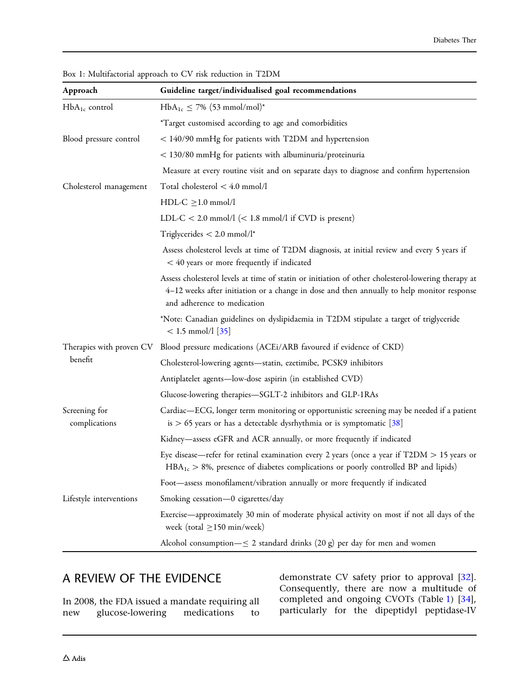| Approach                       | Guideline target/individualised goal recommendations                                                                                                                                                                            |
|--------------------------------|---------------------------------------------------------------------------------------------------------------------------------------------------------------------------------------------------------------------------------|
| $HbA_{1c}$ control             | $HbA_{1c} \le 7\%$ (53 mmol/mol)*                                                                                                                                                                                               |
|                                | *Target customised according to age and comorbidities                                                                                                                                                                           |
| Blood pressure control         | $<$ 140/90 mmHg for patients with T2DM and hypertension                                                                                                                                                                         |
|                                | $<$ 130/80 mmHg for patients with albuminuria/proteinuria                                                                                                                                                                       |
|                                | Measure at every routine visit and on separate days to diagnose and confirm hypertension                                                                                                                                        |
| Cholesterol management         | Total cholesterol $<$ 4.0 mmol/l                                                                                                                                                                                                |
|                                | $HDL-C \geq 1.0$ mmol/l                                                                                                                                                                                                         |
|                                | LDL-C < 2.0 mmol/l (< 1.8 mmol/l if CVD is present)                                                                                                                                                                             |
|                                | Triglycerides $< 2.0$ mmol/l*                                                                                                                                                                                                   |
|                                | Assess cholesterol levels at time of T2DM diagnosis, at initial review and every 5 years if<br>$<$ 40 years or more frequently if indicated                                                                                     |
|                                | Assess cholesterol levels at time of statin or initiation of other cholesterol-lowering therapy at<br>4-12 weeks after initiation or a change in dose and then annually to help monitor response<br>and adherence to medication |
|                                | *Note: Canadian guidelines on dyslipidaemia in T2DM stipulate a target of triglyceride<br>$< 1.5$ mmol/l [35]                                                                                                                   |
| Therapies with proven CV       | Blood pressure medications (ACEi/ARB favoured if evidence of CKD)                                                                                                                                                               |
| benefit                        | Cholesterol-lowering agents-statin, ezetimibe, PCSK9 inhibitors                                                                                                                                                                 |
|                                | Antiplatelet agents—low-dose aspirin (in established CVD)                                                                                                                                                                       |
|                                | Glucose-lowering therapies-SGLT-2 inhibitors and GLP-1RAs                                                                                                                                                                       |
| Screening for<br>complications | Cardiac—ECG, longer term monitoring or opportunistic screening may be needed if a patient<br>is $> 65$ years or has a detectable dysrhythmia or is symptomatic [38]                                                             |
|                                | Kidney-assess eGFR and ACR annually, or more frequently if indicated                                                                                                                                                            |
|                                | Eye disease—refer for retinal examination every 2 years (once a year if $T2DM > 15$ years or<br>$HBA_{1c} > 8\%$ , presence of diabetes complications or poorly controlled BP and lipids)                                       |
|                                | Foot-assess monofilament/vibration annually or more frequently if indicated                                                                                                                                                     |
| Lifestyle interventions        | Smoking cessation-0 cigarettes/day                                                                                                                                                                                              |
|                                | Exercise—approximately 30 min of moderate physical activity on most if not all days of the<br>week (total $\geq$ 150 min/week)                                                                                                  |
|                                | Alcohol consumption $-\leq 2$ standard drinks (20 g) per day for men and women                                                                                                                                                  |

Box 1: Multifactorial approach to CV risk reduction in T2DM

## A REVIEW OF THE EVIDENCE

In 2008, the FDA issued a mandate requiring all new glucose-lowering medications to

demonstrate CV safety prior to approval [[32](#page-16-0)]. Consequently, there are now a multitude of completed and ongoing CVOTs (Table [1\)](#page-4-0) [[34](#page-16-0)], particularly for the dipeptidyl peptidase-IV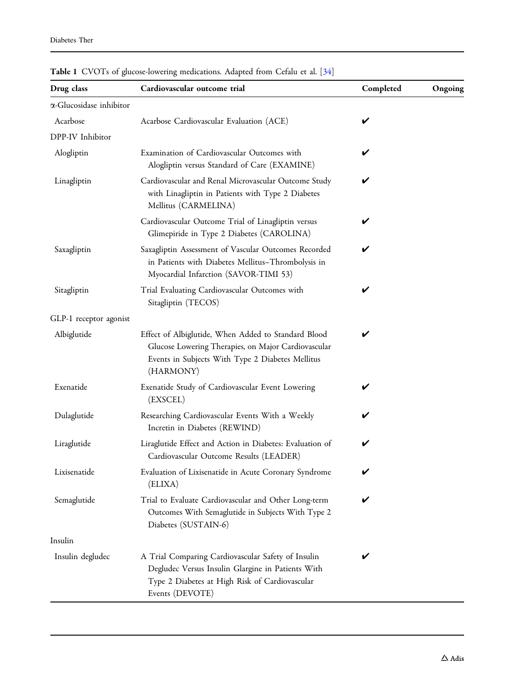| Drug class              | Cardiovascular outcome trial                                                                                                                                                 | Completed | Ongoing |
|-------------------------|------------------------------------------------------------------------------------------------------------------------------------------------------------------------------|-----------|---------|
| a-Glucosidase inhibitor |                                                                                                                                                                              |           |         |
| Acarbose                | Acarbose Cardiovascular Evaluation (ACE)                                                                                                                                     | V         |         |
| DPP-IV Inhibitor        |                                                                                                                                                                              |           |         |
| Alogliptin              | Examination of Cardiovascular Outcomes with<br>Alogliptin versus Standard of Care (EXAMINE)                                                                                  |           |         |
| Linagliptin             | Cardiovascular and Renal Microvascular Outcome Study<br>with Linagliptin in Patients with Type 2 Diabetes<br>Mellitus (CARMELINA)                                            | V         |         |
|                         | Cardiovascular Outcome Trial of Linagliptin versus<br>Glimepiride in Type 2 Diabetes (CAROLINA)                                                                              | v         |         |
| Saxagliptin             | Saxagliptin Assessment of Vascular Outcomes Recorded<br>in Patients with Diabetes Mellitus-Thrombolysis in<br>Myocardial Infarction (SAVOR-TIMI 53)                          | V         |         |
| Sitagliptin             | Trial Evaluating Cardiovascular Outcomes with<br>Sitagliptin (TECOS)                                                                                                         | V         |         |
| GLP-1 receptor agonist  |                                                                                                                                                                              |           |         |
| Albiglutide             | Effect of Albiglutide, When Added to Standard Blood<br>Glucose Lowering Therapies, on Major Cardiovascular<br>Events in Subjects With Type 2 Diabetes Mellitus<br>(HARMONY)  | V         |         |
| Exenatide               | Exenatide Study of Cardiovascular Event Lowering<br>(EXSCEL)                                                                                                                 | V         |         |
| Dulaglutide             | Researching Cardiovascular Events With a Weekly<br>Incretin in Diabetes (REWIND)                                                                                             |           |         |
| Liraglutide             | Liraglutide Effect and Action in Diabetes: Evaluation of<br>Cardiovascular Outcome Results (LEADER)                                                                          | V         |         |
| Lixisenatide            | Evaluation of Lixisenatide in Acute Coronary Syndrome<br>(ELIXA)                                                                                                             | V         |         |
| Semaglutide             | Trial to Evaluate Cardiovascular and Other Long-term<br>Outcomes With Semaglutide in Subjects With Type 2<br>Diabetes (SUSTAIN-6)                                            | V         |         |
| Insulin                 |                                                                                                                                                                              |           |         |
| Insulin degludec        | A Trial Comparing Cardiovascular Safety of Insulin<br>Degludec Versus Insulin Glargine in Patients With<br>Type 2 Diabetes at High Risk of Cardiovascular<br>Events (DEVOTE) |           |         |

<span id="page-4-0"></span>Table 1 CVOTs of glucose-lowering medications. Adapted from Cefalu et al. [[34\]](#page-16-0)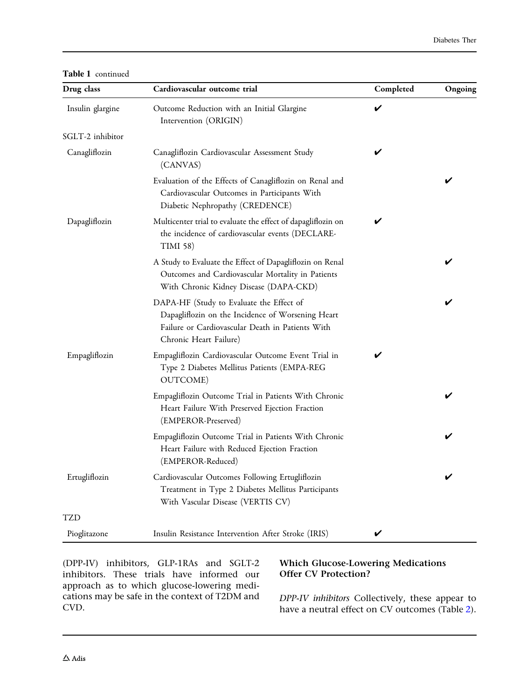| Drug class       | Cardiovascular outcome trial                                                                                                                                                | Completed | Ongoing |
|------------------|-----------------------------------------------------------------------------------------------------------------------------------------------------------------------------|-----------|---------|
| Insulin glargine | Outcome Reduction with an Initial Glargine<br>Intervention (ORIGIN)                                                                                                         | V         |         |
| SGLT-2 inhibitor |                                                                                                                                                                             |           |         |
| Canagliflozin    | Canagliflozin Cardiovascular Assessment Study<br>(CANVAS)                                                                                                                   | V         |         |
|                  | Evaluation of the Effects of Canagliflozin on Renal and<br>Cardiovascular Outcomes in Participants With<br>Diabetic Nephropathy (CREDENCE)                                  |           |         |
| Dapagliflozin    | Multicenter trial to evaluate the effect of dapagliflozin on<br>the incidence of cardiovascular events (DECLARE-<br>TIMI 58)                                                | V         |         |
|                  | A Study to Evaluate the Effect of Dapagliflozin on Renal<br>Outcomes and Cardiovascular Mortality in Patients<br>With Chronic Kidney Disease (DAPA-CKD)                     |           |         |
|                  | DAPA-HF (Study to Evaluate the Effect of<br>Dapagliflozin on the Incidence of Worsening Heart<br>Failure or Cardiovascular Death in Patients With<br>Chronic Heart Failure) |           |         |
| Empagliflozin    | Empagliflozin Cardiovascular Outcome Event Trial in<br>Type 2 Diabetes Mellitus Patients (EMPA-REG<br><b>OUTCOME</b> )                                                      | V         |         |
|                  | Empagliflozin Outcome Trial in Patients With Chronic<br>Heart Failure With Preserved Ejection Fraction<br>(EMPEROR-Preserved)                                               |           |         |
|                  | Empagliflozin Outcome Trial in Patients With Chronic<br>Heart Failure with Reduced Ejection Fraction<br>(EMPEROR-Reduced)                                                   |           | V       |
| Ertugliflozin    | Cardiovascular Outcomes Following Ertugliflozin<br>Treatment in Type 2 Diabetes Mellitus Participants<br>With Vascular Disease (VERTIS CV)                                  |           | V       |
| TZD              |                                                                                                                                                                             |           |         |
| Pioglitazone     | Insulin Resistance Intervention After Stroke (IRIS)                                                                                                                         | V         |         |

Table 1 continued

(DPP-IV) inhibitors, GLP-1RAs and SGLT-2 inhibitors. These trials have informed our approach as to which glucose-lowering medications may be safe in the context of T2DM and CVD.

#### Which Glucose-Lowering Medications Offer CV Protection?

DPP-IV inhibitors Collectively, these appear to have a neutral effect on CV outcomes (Table [2](#page-6-0)).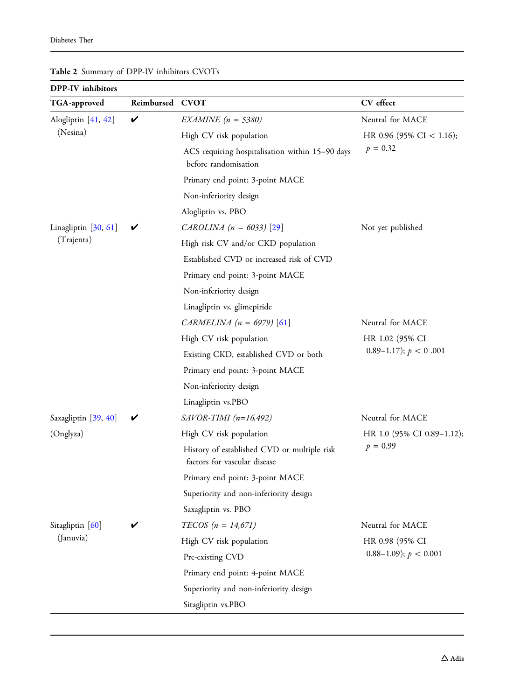<span id="page-6-0"></span>Table 2 Summary of DPP-IV inhibitors CVOTs

| <b>DPP-IV</b> inhibitors                  |                 |                                                                             |                                            |
|-------------------------------------------|-----------------|-----------------------------------------------------------------------------|--------------------------------------------|
| TGA-approved                              | Reimbursed CVOT |                                                                             | CV effect                                  |
| Alogliptin <sup>[41,42]</sup><br>(Nesina) | V               | EXAMINE $(n = 5380)$                                                        | Neutral for MACE                           |
|                                           |                 | High CV risk population                                                     | HR 0.96 (95% CI $<$ 1.16);                 |
|                                           |                 | ACS requiring hospitalisation within 15-90 days<br>before randomisation     | $p = 0.32$                                 |
|                                           |                 | Primary end point: 3-point MACE                                             |                                            |
|                                           |                 | Non-inferiority design                                                      |                                            |
|                                           |                 | Alogliptin vs. PBO                                                          |                                            |
| Linagliptin [30, 61]                      |                 | <i>CAROLINA</i> $(n = 6033)$ [29]                                           | Not yet published                          |
| (Trajenta)                                |                 | High risk CV and/or CKD population                                          |                                            |
|                                           |                 | Established CVD or increased risk of CVD                                    |                                            |
|                                           |                 | Primary end point: 3-point MACE                                             |                                            |
|                                           |                 | Non-inferiority design                                                      |                                            |
|                                           |                 | Linagliptin vs. glimepiride                                                 |                                            |
|                                           |                 | CARMELINA $(n = 6979)$ [61]                                                 | Neutral for MACE                           |
|                                           |                 | High CV risk population                                                     | HR 1.02 (95% CI                            |
|                                           |                 | Existing CKD, established CVD or both                                       | 0.89–1.17); $p < 0.001$                    |
|                                           |                 | Primary end point: 3-point MACE                                             |                                            |
|                                           |                 | Non-inferiority design                                                      |                                            |
|                                           |                 | Linagliptin vs.PBO                                                          |                                            |
| Saxagliptin [39, 40]                      |                 | $SAVOR-TIMI$ (n=16,492)                                                     | Neutral for MACE                           |
| (Onglyza)                                 |                 | High CV risk population                                                     | HR 1.0 (95% CI 0.89-1.12);                 |
|                                           |                 | History of established CVD or multiple risk<br>factors for vascular disease | $p = 0.99$                                 |
|                                           |                 | Primary end point: 3-point MACE                                             |                                            |
|                                           |                 | Superiority and non-inferiority design                                      |                                            |
|                                           |                 | Saxagliptin vs. PBO                                                         |                                            |
| Sitagliptin [60]                          | V               | $TECOS (n = 14,671)$                                                        | Neutral for MACE                           |
| (Januvia)                                 |                 | High CV risk population                                                     | HR 0.98 (95% CI<br>0.88–1.09); $p < 0.001$ |
|                                           |                 | Pre-existing CVD                                                            |                                            |
|                                           |                 | Primary end point: 4-point MACE                                             |                                            |
|                                           |                 | Superiority and non-inferiority design                                      |                                            |
|                                           |                 | Sitagliptin vs.PBO                                                          |                                            |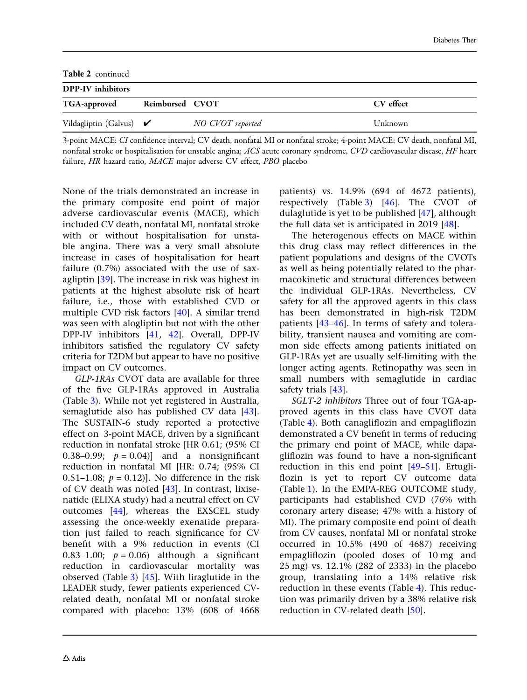| <b>Table 2</b> continued                    |                 |                  |           |  |
|---------------------------------------------|-----------------|------------------|-----------|--|
| <b>DPP-IV</b> inhibitors                    |                 |                  |           |  |
| <b>TGA-approved</b>                         | Reimbursed CVOT |                  | CV effect |  |
| Vildagliptin (Galvus) $\blacktriangleright$ |                 | NO CVOT reported | Unknown   |  |

3-point MACE: CI confidence interval; CV death, nonfatal MI or nonfatal stroke; 4-point MACE: CV death, nonfatal MI, nonfatal stroke or hospitalisation for unstable angina; ACS acute coronary syndrome, CVD cardiovascular disease, HF heart failure, HR hazard ratio, MACE major adverse CV effect, PBO placebo

None of the trials demonstrated an increase in the primary composite end point of major adverse cardiovascular events (MACE), which included CV death, nonfatal MI, nonfatal stroke with or without hospitalisation for unstable angina. There was a very small absolute increase in cases of hospitalisation for heart failure (0.7%) associated with the use of saxagliptin [\[39\]](#page-17-0). The increase in risk was highest in patients at the highest absolute risk of heart failure, i.e., those with established CVD or multiple CVD risk factors [[40](#page-17-0)]. A similar trend was seen with alogliptin but not with the other DPP-IV inhibitors [[41,](#page-17-0) [42\]](#page-17-0). Overall, DPP-IV inhibitors satisfied the regulatory CV safety criteria for T2DM but appear to have no positive impact on CV outcomes.

GLP-1RAs CVOT data are available for three of the five GLP-1RAs approved in Australia (Table [3\)](#page-8-0). While not yet registered in Australia, semaglutide also has published CV data [[43](#page-17-0)]. The SUSTAIN-6 study reported a protective effect on 3-point MACE, driven by a significant reduction in nonfatal stroke [HR 0.61; (95% CI 0.38–0.99;  $p = 0.04$ ] and a nonsignificant reduction in nonfatal MI [HR: 0.74; (95% CI 0.51–1.08;  $p = 0.12$ ]. No difference in the risk of CV death was noted [[43](#page-17-0)]. In contrast, lixisenatide (ELIXA study) had a neutral effect on CV outcomes [[44\]](#page-17-0), whereas the EXSCEL study assessing the once-weekly exenatide preparation just failed to reach significance for CV benefit with a 9% reduction in events (CI 0.83–1.00;  $p = 0.06$ ) although a significant reduction in cardiovascular mortality was observed (Table [3\)](#page-8-0)  $[45]$  $[45]$  $[45]$ . With liraglutide in the LEADER study, fewer patients experienced CVrelated death, nonfatal MI or nonfatal stroke compared with placebo: 13% (608 of 4668 patients) vs. 14.9% (694 of 4672 patients), respectively (Table [3\)](#page-8-0) [[46](#page-17-0)]. The CVOT of dulaglutide is yet to be published [[47](#page-17-0)], although the full data set is anticipated in 2019 [[48](#page-17-0)].

The heterogenous effects on MACE within this drug class may reflect differences in the patient populations and designs of the CVOTs as well as being potentially related to the pharmacokinetic and structural differences between the individual GLP-1RAs. Nevertheless, CV safety for all the approved agents in this class has been demonstrated in high-risk T2DM patients [[43–46\]](#page-17-0). In terms of safety and tolerability, transient nausea and vomiting are common side effects among patients initiated on GLP-1RAs yet are usually self-limiting with the longer acting agents. Retinopathy was seen in small numbers with semaglutide in cardiac safety trials [[43](#page-17-0)].

SGLT-2 inhibitors Three out of four TGA-approved agents in this class have CVOT data (Table [4\)](#page-10-0). Both canagliflozin and empagliflozin demonstrated a CV benefit in terms of reducing the primary end point of MACE, while dapagliflozin was found to have a non-significant reduction in this end point [\[49–51](#page-17-0)]. Ertugliflozin is yet to report CV outcome data (Table [1\)](#page-4-0). In the EMPA-REG OUTCOME study, participants had established CVD (76% with coronary artery disease; 47% with a history of MI). The primary composite end point of death from CV causes, nonfatal MI or nonfatal stroke occurred in 10.5% (490 of 4687) receiving empagliflozin (pooled doses of 10 mg and 25 mg) vs. 12.1% (282 of 2333) in the placebo group, translating into a 14% relative risk reduction in these events (Table [4](#page-10-0)). This reduction was primarily driven by a 38% relative risk reduction in CV-related death [[50](#page-17-0)].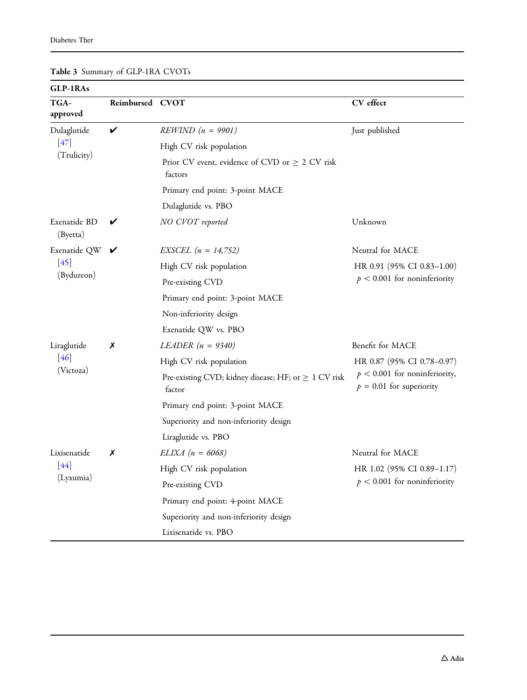<span id="page-8-0"></span>

| GLP-1RAs                             |                 |                                                                     |                                                                                             |
|--------------------------------------|-----------------|---------------------------------------------------------------------|---------------------------------------------------------------------------------------------|
| TGA-<br>approved                     | Reimbursed CVOT |                                                                     | CV effect                                                                                   |
| Dulaglutide<br>$[47]$<br>(Trulicity) | V               | $REWIND (n = 9901)$                                                 | Just published                                                                              |
|                                      |                 | High CV risk population                                             |                                                                                             |
|                                      |                 | Prior CV event, evidence of CVD or $\geq 2$ CV risk<br>factors      |                                                                                             |
|                                      |                 | Primary end point: 3-point MACE                                     |                                                                                             |
|                                      |                 | Dulaglutide vs. PBO                                                 |                                                                                             |
| Exenatide BD<br>(Byetta)             |                 | NO CVOT reported                                                    | Unknown                                                                                     |
| Exenatide QW ✔                       |                 | <i>EXSCEL</i> $(n = 14,752)$                                        | Neutral for MACE                                                                            |
| $[45]$                               |                 | High CV risk population                                             | HR 0.91 (95% CI 0.83-1.00)                                                                  |
| (Bydureon)                           |                 | Pre-existing CVD                                                    | $p < 0.001$ for noninferiority                                                              |
|                                      |                 | Primary end point: 3-point MACE                                     |                                                                                             |
|                                      |                 | Non-inferiority design                                              |                                                                                             |
|                                      |                 | Exenatide QW vs. PBO                                                |                                                                                             |
| Liraglutide                          | Х               | LEADER $(n = 9340)$                                                 | Benefit for MACE                                                                            |
| $[46]$                               |                 | High CV risk population                                             | HR 0.87 (95% CI 0.78-0.97)<br>$p < 0.001$ for noninferiority,<br>$p = 0.01$ for superiority |
| (Victoza)                            |                 | Pre-existing CVD; kidney disease; HF; or $\geq 1$ CV risk<br>factor |                                                                                             |
|                                      |                 | Primary end point: 3-point MACE                                     |                                                                                             |
|                                      |                 | Superiority and non-inferiority design                              |                                                                                             |
|                                      |                 | Liraglutide vs. PBO                                                 |                                                                                             |
| Lixisenatide                         | Х               | ELIXA ( $n = 6068$ )                                                | Neutral for MACE                                                                            |
| [44]                                 |                 | High CV risk population                                             | HR 1.02 (95% CI 0.89-1.17)                                                                  |
| (Lyxumia)                            |                 | Pre-existing CVD                                                    | $p < 0.001$ for noninferiority                                                              |
|                                      |                 | Primary end point: 4-point MACE                                     |                                                                                             |
|                                      |                 | Superiority and non-inferiority design                              |                                                                                             |
|                                      |                 | Lixisenatide vs. PBO                                                |                                                                                             |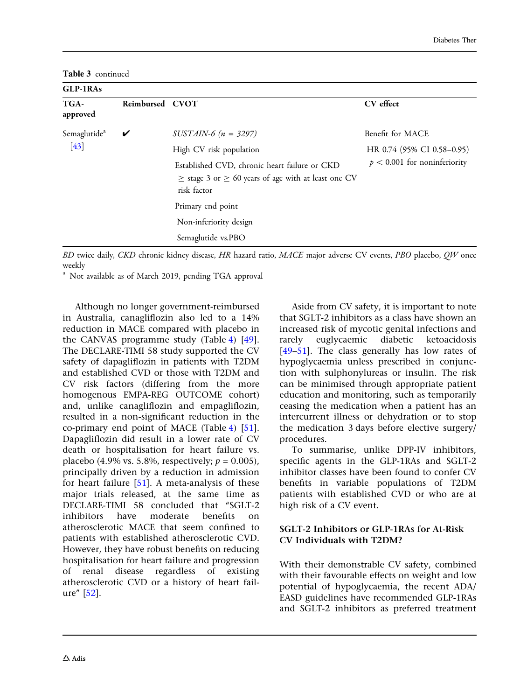Table 3 continued

| GLP-1RAs                           |                 |                                                                                                                                                                                             |                                                                                  |
|------------------------------------|-----------------|---------------------------------------------------------------------------------------------------------------------------------------------------------------------------------------------|----------------------------------------------------------------------------------|
| TGA-<br>approved                   | Reimbursed CVOT |                                                                                                                                                                                             | CV effect                                                                        |
| Semaglutide <sup>a</sup><br>$[43]$ | V               | <i>SUSTAIN-6</i> ( $n = 3297$ )<br>High CV risk population<br>Established CVD, chronic heart failure or CKD<br>$\geq$ stage 3 or $\geq$ 60 years of age with at least one CV<br>risk factor | Benefit for MACE<br>HR 0.74 (95% CI 0.58-0.95)<br>$p < 0.001$ for noninferiority |
|                                    |                 | Primary end point<br>Non-inferiority design                                                                                                                                                 |                                                                                  |
|                                    |                 | Semaglutide vs.PBO                                                                                                                                                                          |                                                                                  |

BD twice daily, CKD chronic kidney disease, HR hazard ratio, MACE major adverse CV events, PBO placebo, QW once weekly

<sup>a</sup> Not available as of March 2019, pending TGA approval

Although no longer government-reimbursed in Australia, canagliflozin also led to a 14% reduction in MACE compared with placebo in the CANVAS programme study (Table [4\)](#page-10-0) [[49](#page-17-0)]. The DECLARE-TIMI 58 study supported the CV safety of dapagliflozin in patients with T2DM and established CVD or those with T2DM and CV risk factors (differing from the more homogenous EMPA-REG OUTCOME cohort) and, unlike canagliflozin and empagliflozin, resulted in a non-significant reduction in the co-primary end point of MACE (Table [4](#page-10-0)) [[51](#page-17-0)]. Dapagliflozin did result in a lower rate of CV death or hospitalisation for heart failure vs. placebo (4.9% vs. 5.8%, respectively;  $p = 0.005$ ), principally driven by a reduction in admission for heart failure [\[51\]](#page-17-0). A meta-analysis of these major trials released, at the same time as DECLARE-TIMI 58 concluded that "SGLT-2" inhibitors have moderate benefits on atherosclerotic MACE that seem confined to patients with established atherosclerotic CVD. However, they have robust benefits on reducing hospitalisation for heart failure and progression of renal disease regardless of existing atherosclerotic CVD or a history of heart failure'' [[52](#page-17-0)].

Aside from CV safety, it is important to note that SGLT-2 inhibitors as a class have shown an increased risk of mycotic genital infections and rarely euglycaemic diabetic ketoacidosis [\[49–51](#page-17-0)]. The class generally has low rates of hypoglycaemia unless prescribed in conjunction with sulphonylureas or insulin. The risk can be minimised through appropriate patient education and monitoring, such as temporarily ceasing the medication when a patient has an intercurrent illness or dehydration or to stop the medication 3 days before elective surgery/ procedures.

To summarise, unlike DPP-IV inhibitors, specific agents in the GLP-1RAs and SGLT-2 inhibitor classes have been found to confer CV benefits in variable populations of T2DM patients with established CVD or who are at high risk of a CV event.

#### SGLT-2 Inhibitors or GLP-1RAs for At-Risk CV Individuals with T2DM?

With their demonstrable CV safety, combined with their favourable effects on weight and low potential of hypoglycaemia, the recent ADA/ EASD guidelines have recommended GLP-1RAs and SGLT-2 inhibitors as preferred treatment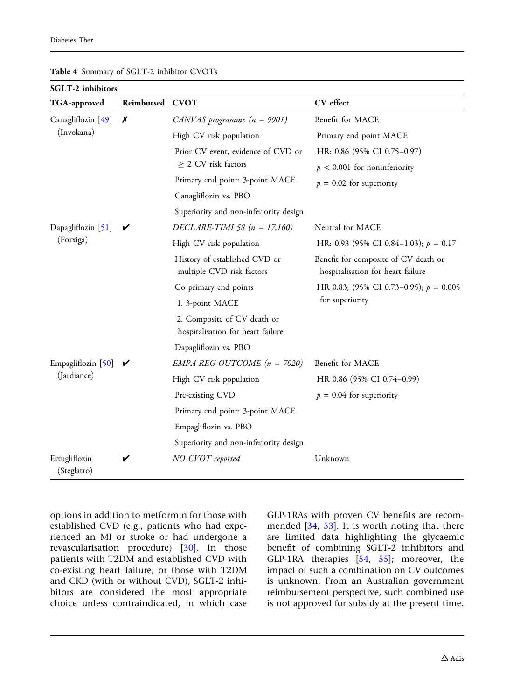<span id="page-10-0"></span>

| Table 4 Summary of SGLT-2 inhibitor CVOTs |  |  |  |
|-------------------------------------------|--|--|--|
|-------------------------------------------|--|--|--|

| <b>SGLT-2</b> inhibitors     |                 |                                                                  |                                                                           |  |
|------------------------------|-----------------|------------------------------------------------------------------|---------------------------------------------------------------------------|--|
| TGA-approved                 | Reimbursed CVOT |                                                                  | CV effect                                                                 |  |
| Canagliflozin [49]           | X               | CANVAS programme (n = 9901)                                      | Benefit for MACE                                                          |  |
| (Invokana)                   |                 | High CV risk population                                          | Primary end point MACE                                                    |  |
|                              |                 | Prior CV event, evidence of CVD or                               | HR: 0.86 (95% CI 0.75-0.97)                                               |  |
|                              |                 | $\geq$ 2 CV risk factors                                         | $p < 0.001$ for noninferiority                                            |  |
|                              |                 | Primary end point: 3-point MACE                                  | $p = 0.02$ for superiority                                                |  |
|                              |                 | Canagliflozin vs. PBO                                            |                                                                           |  |
|                              |                 | Superiority and non-inferiority design                           |                                                                           |  |
| Dapagliflozin [51]           |                 | DECLARE-TIMI 58 $(n = 17,160)$                                   | Neutral for MACE                                                          |  |
| (Forxiga)                    |                 | High CV risk population                                          | HR: 0.93 (95% CI 0.84–1.03); $p = 0.17$                                   |  |
|                              |                 | History of established CVD or<br>multiple CVD risk factors       | Benefit for composite of CV death or<br>hospitalisation for heart failure |  |
|                              |                 | Co primary end points                                            | HR 0.83; (95% CI 0.73–0.95); $p = 0.005$                                  |  |
|                              |                 | 1. 3-point MACE                                                  | for superiority                                                           |  |
|                              |                 | 2. Composite of CV death or<br>hospitalisation for heart failure |                                                                           |  |
|                              |                 | Dapagliflozin vs. PBO                                            |                                                                           |  |
| Empagliflozin [50]           |                 | EMPA-REG OUTCOME $(n = 7020)$                                    | Benefit for MACE                                                          |  |
| (Jardiance)                  |                 | High CV risk population                                          | HR 0.86 (95% CI 0.74-0.99)                                                |  |
|                              |                 | Pre-existing CVD                                                 | $p = 0.04$ for superiority                                                |  |
|                              |                 | Primary end point: 3-point MACE                                  |                                                                           |  |
|                              |                 | Empagliflozin vs. PBO                                            |                                                                           |  |
|                              |                 | Superiority and non-inferiority design                           |                                                                           |  |
| Ertugliflozin<br>(Steglatro) |                 | NO CVOT reported                                                 | Unknown                                                                   |  |

options in addition to metformin for those with established CVD (e.g., patients who had experienced an MI or stroke or had undergone a revascularisation procedure) [\[30\]](#page-16-0). In those patients with T2DM and established CVD with co-existing heart failure, or those with T2DM and CKD (with or without CVD), SGLT-2 inhibitors are considered the most appropriate choice unless contraindicated, in which case

GLP-1RAs with proven CV benefits are recommended  $[34, 53]$  $[34, 53]$  $[34, 53]$  $[34, 53]$ . It is worth noting that there are limited data highlighting the glycaemic benefit of combining SGLT-2 inhibitors and GLP-1RA therapies [\[54,](#page-17-0) [55](#page-17-0)]; moreover, the impact of such a combination on CV outcomes is unknown. From an Australian government reimbursement perspective, such combined use is not approved for subsidy at the present time.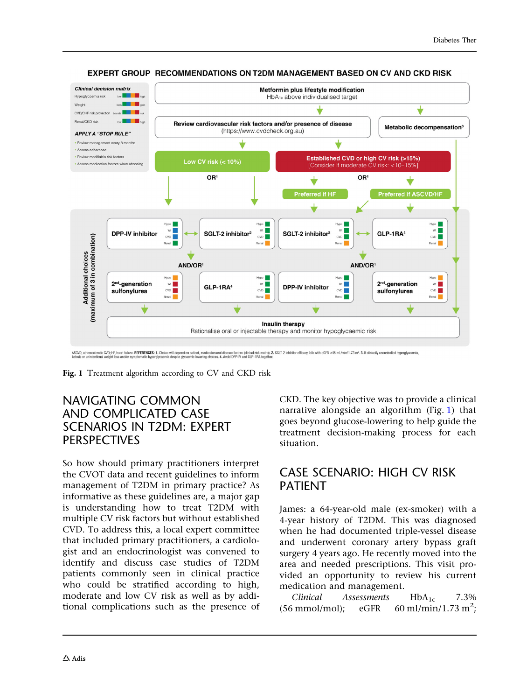

#### EXPERT GROUP RECOMMENDATIONS ON T2DM MANAGEMENT BASED ON CV AND CKD RISK

ASOVD, atheroclerotic OVD; HF, heart failure. REFERENCES: 1. Onoice will depend on patient, medication and disease factors (clinical risk matrix), 2. SGLT-2 inhibitor efficacy falls with eGFR <45 mL/min/1.73 m<sup>2</sup>. 3. If cl

Fig. 1 Treatment algorithm according to CV and CKD risk

### NAVIGATING COMMON AND COMPLICATED CASE SCENARIOS IN T2DM: EXPERT PERSPECTIVES

So how should primary practitioners interpret the CVOT data and recent guidelines to inform management of T2DM in primary practice? As informative as these guidelines are, a major gap is understanding how to treat T2DM with multiple CV risk factors but without established CVD. To address this, a local expert committee that included primary practitioners, a cardiologist and an endocrinologist was convened to identify and discuss case studies of T2DM patients commonly seen in clinical practice who could be stratified according to high, moderate and low CV risk as well as by additional complications such as the presence of CKD. The key objective was to provide a clinical narrative alongside an algorithm (Fig. 1) that goes beyond glucose-lowering to help guide the treatment decision-making process for each situation.

### CASE SCENARIO: HIGH CV RISK PATIENT

James: a 64-year-old male (ex-smoker) with a 4-year history of T2DM. This was diagnosed when he had documented triple-vessel disease and underwent coronary artery bypass graft surgery 4 years ago. He recently moved into the area and needed prescriptions. This visit provided an opportunity to review his current medication and management.

Clinical Assessments  $HbA_{1c}$  7.3%<br>(56 mmol/mol): eGFR 60 ml/min/1.73 m<sup>2</sup>:  $(56 \text{ mmol/mol})$ ; eGFR  $60 \text{ ml/min}/1.73 \text{ m}^2$ ;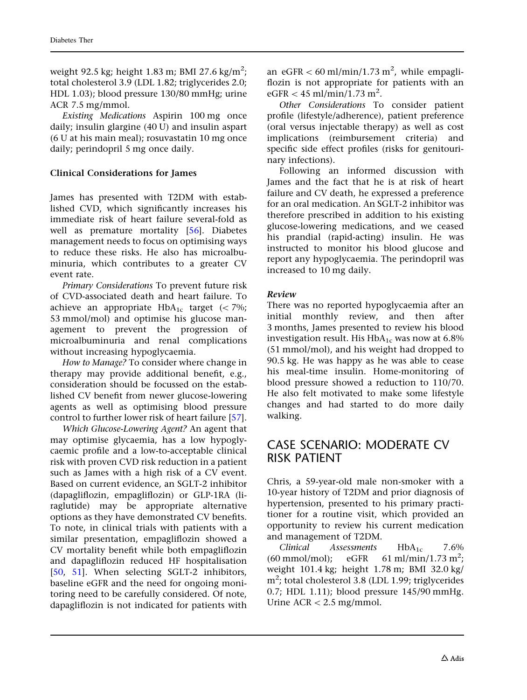weight 92.5 kg; height 1.83 m; BMI 27.6 kg/m<sup>2</sup>; total cholesterol 3.9 (LDL 1.82; triglycerides 2.0; HDL 1.03); blood pressure 130/80 mmHg; urine ACR 7.5 mg/mmol.

Existing Medications Aspirin 100 mg once daily; insulin glargine (40 U) and insulin aspart (6 U at his main meal); rosuvastatin 10 mg once daily; perindopril 5 mg once daily.

#### Clinical Considerations for James

James has presented with T2DM with established CVD, which significantly increases his immediate risk of heart failure several-fold as well as premature mortality [[56\]](#page-17-0). Diabetes management needs to focus on optimising ways to reduce these risks. He also has microalbuminuria, which contributes to a greater CV event rate.

Primary Considerations To prevent future risk of CVD-associated death and heart failure. To achieve an appropriate  $HbA_{1c}$  target (< 7%; 53 mmol/mol) and optimise his glucose management to prevent the progression of microalbuminuria and renal complications without increasing hypoglycaemia.

How to Manage? To consider where change in therapy may provide additional benefit, e.g., consideration should be focussed on the established CV benefit from newer glucose-lowering agents as well as optimising blood pressure control to further lower risk of heart failure [[57\]](#page-17-0).

Which Glucose-Lowering Agent? An agent that may optimise glycaemia, has a low hypoglycaemic profile and a low-to-acceptable clinical risk with proven CVD risk reduction in a patient such as James with a high risk of a CV event. Based on current evidence, an SGLT-2 inhibitor (dapagliflozin, empagliflozin) or GLP-1RA (liraglutide) may be appropriate alternative options as they have demonstrated CV benefits. To note, in clinical trials with patients with a similar presentation, empagliflozin showed a CV mortality benefit while both empagliflozin and dapagliflozin reduced HF hospitalisation [\[50](#page-17-0), [51\]](#page-17-0). When selecting SGLT-2 inhibitors, baseline eGFR and the need for ongoing monitoring need to be carefully considered. Of note, dapagliflozin is not indicated for patients with

an eGFR  $<$  60 ml/min/1.73 m<sup>2</sup>, while empagliflozin is not appropriate for patients with an  $eGFR < 45 \text{ ml/min}/1.73 \text{ m}^2$ .

Other Considerations To consider patient profile (lifestyle/adherence), patient preference (oral versus injectable therapy) as well as cost implications (reimbursement criteria) and specific side effect profiles (risks for genitourinary infections).

Following an informed discussion with James and the fact that he is at risk of heart failure and CV death, he expressed a preference for an oral medication. An SGLT-2 inhibitor was therefore prescribed in addition to his existing glucose-lowering medications, and we ceased his prandial (rapid-acting) insulin. He was instructed to monitor his blood glucose and report any hypoglycaemia. The perindopril was increased to 10 mg daily.

#### Review

There was no reported hypoglycaemia after an initial monthly review, and then after 3 months, James presented to review his blood investigation result. His  $HbA_{1c}$  was now at 6.8% (51 mmol/mol), and his weight had dropped to 90.5 kg. He was happy as he was able to cease his meal-time insulin. Home-monitoring of blood pressure showed a reduction to 110/70. He also felt motivated to make some lifestyle changes and had started to do more daily walking.

### CASE SCENARIO: MODERATE CV RISK PATIENT

Chris, a 59-year-old male non-smoker with a 10-year history of T2DM and prior diagnosis of hypertension, presented to his primary practitioner for a routine visit, which provided an opportunity to review his current medication and management of T2DM.

Clinical Assessments  $HbA_{1c}$  7.6%  $(60 \text{ mmol/mol})$ ; eGFR 61 ml/min/1.73 m<sup>2</sup>; weight 101.4 kg; height 1.78 m; BMI 32.0 kg/ m<sup>2</sup>; total cholesterol 3.8 (LDL 1.99; triglycerides 0.7; HDL 1.11); blood pressure 145/90 mmHg. Urine  $ACR < 2.5$  mg/mmol.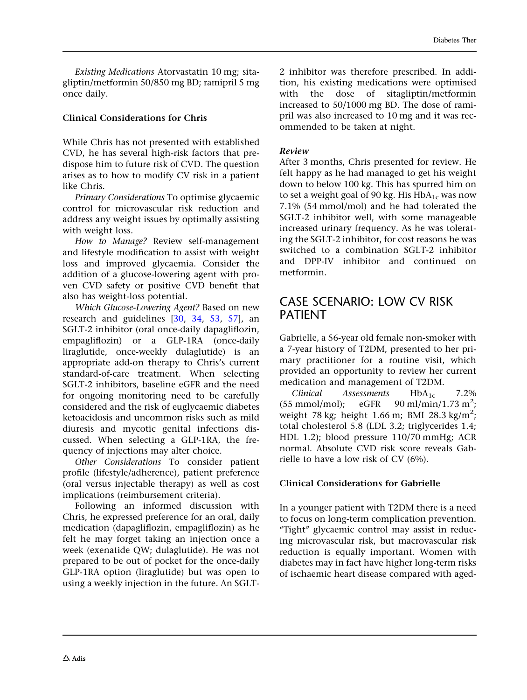Existing Medications Atorvastatin 10 mg; sitagliptin/metformin 50/850 mg BD; ramipril 5 mg once daily.

#### Clinical Considerations for Chris

While Chris has not presented with established CVD, he has several high-risk factors that predispose him to future risk of CVD. The question arises as to how to modify CV risk in a patient like Chris.

Primary Considerations To optimise glycaemic control for microvascular risk reduction and address any weight issues by optimally assisting with weight loss.

How to Manage? Review self-management and lifestyle modification to assist with weight loss and improved glycaemia. Consider the addition of a glucose-lowering agent with proven CVD safety or positive CVD benefit that also has weight-loss potential.

Which Glucose-Lowering Agent? Based on new research and guidelines [\[30,](#page-16-0) [34](#page-16-0), [53,](#page-17-0) [57](#page-17-0)], an SGLT-2 inhibitor (oral once-daily dapagliflozin, empagliflozin) or a GLP-1RA (once-daily liraglutide, once-weekly dulaglutide) is an appropriate add-on therapy to Chris's current standard-of-care treatment. When selecting SGLT-2 inhibitors, baseline eGFR and the need for ongoing monitoring need to be carefully considered and the risk of euglycaemic diabetes ketoacidosis and uncommon risks such as mild diuresis and mycotic genital infections discussed. When selecting a GLP-1RA, the frequency of injections may alter choice.

Other Considerations To consider patient profile (lifestyle/adherence), patient preference (oral versus injectable therapy) as well as cost implications (reimbursement criteria).

Following an informed discussion with Chris, he expressed preference for an oral, daily medication (dapagliflozin, empagliflozin) as he felt he may forget taking an injection once a week (exenatide QW; dulaglutide). He was not prepared to be out of pocket for the once-daily GLP-1RA option (liraglutide) but was open to using a weekly injection in the future. An SGLT-

2 inhibitor was therefore prescribed. In addition, his existing medications were optimised with the dose of sitagliptin/metformin increased to 50/1000 mg BD. The dose of ramipril was also increased to 10 mg and it was recommended to be taken at night.

#### Review

After 3 months, Chris presented for review. He felt happy as he had managed to get his weight down to below 100 kg. This has spurred him on to set a weight goal of 90 kg. His  $HbA_{1c}$  was now 7.1% (54 mmol/mol) and he had tolerated the SGLT-2 inhibitor well, with some manageable increased urinary frequency. As he was tolerating the SGLT-2 inhibitor, for cost reasons he was switched to a combination SGLT-2 inhibitor and DPP-IV inhibitor and continued on metformin.

### CASE SCENARIO: LOW CV RISK PATIENT

Gabrielle, a 56-year old female non-smoker with a 7-year history of T2DM, presented to her primary practitioner for a routine visit, which provided an opportunity to review her current medication and management of T2DM.

Clinical Assessments  $HbA_{1c}$  7.2%<br>(55 mmol/mol); eGFR 90 ml/min/1.73 m<sup>2</sup>;  $(55 \text{ mmol/mol})$ ; eGFR 90 ml/min/1.73 m<sup>2</sup>; weight 78 kg; height 1.66 m; BMI 28.3 kg/m<sup>2</sup>; total cholesterol 5.8 (LDL 3.2; triglycerides 1.4; HDL 1.2); blood pressure 110/70 mmHg; ACR normal. Absolute CVD risk score reveals Gabrielle to have a low risk of CV (6%).

#### Clinical Considerations for Gabrielle

In a younger patient with T2DM there is a need to focus on long-term complication prevention. ''Tight'' glycaemic control may assist in reducing microvascular risk, but macrovascular risk reduction is equally important. Women with diabetes may in fact have higher long-term risks of ischaemic heart disease compared with aged-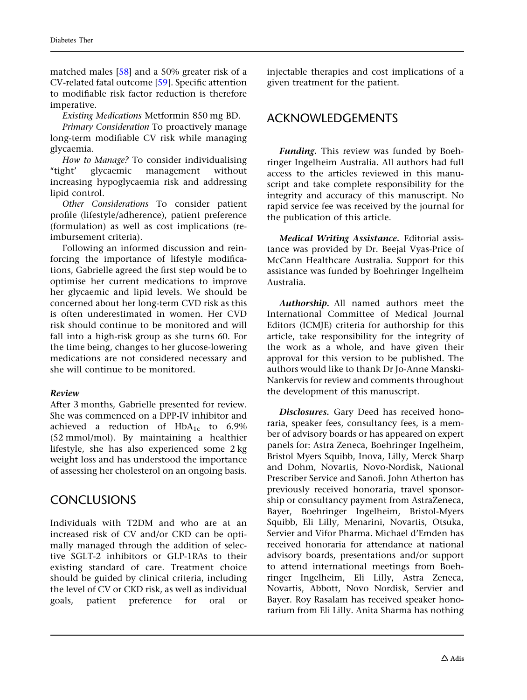matched males [\[58\]](#page-17-0) and a 50% greater risk of a CV-related fatal outcome [\[59\]](#page-17-0). Specific attention to modifiable risk factor reduction is therefore imperative.

Existing Medications Metformin 850 mg BD.

Primary Consideration To proactively manage long-term modifiable CV risk while managing glycaemia.

How to Manage? To consider individualising ''tight' glycaemic management without increasing hypoglycaemia risk and addressing lipid control.

Other Considerations To consider patient profile (lifestyle/adherence), patient preference (formulation) as well as cost implications (reimbursement criteria).

Following an informed discussion and reinforcing the importance of lifestyle modifications, Gabrielle agreed the first step would be to optimise her current medications to improve her glycaemic and lipid levels. We should be concerned about her long-term CVD risk as this is often underestimated in women. Her CVD risk should continue to be monitored and will fall into a high-risk group as she turns 60. For the time being, changes to her glucose-lowering medications are not considered necessary and she will continue to be monitored.

#### Review

After 3 months, Gabrielle presented for review. She was commenced on a DPP-IV inhibitor and achieved a reduction of  $HbA_{1c}$  to 6.9% (52 mmol/mol). By maintaining a healthier lifestyle, she has also experienced some 2 kg weight loss and has understood the importance of assessing her cholesterol on an ongoing basis.

### **CONCLUSIONS**

Individuals with T2DM and who are at an increased risk of CV and/or CKD can be optimally managed through the addition of selective SGLT-2 inhibitors or GLP-1RAs to their existing standard of care. Treatment choice should be guided by clinical criteria, including the level of CV or CKD risk, as well as individual goals, patient preference for oral or

injectable therapies and cost implications of a given treatment for the patient.

### ACKNOWLEDGEMENTS

Funding. This review was funded by Boehringer Ingelheim Australia. All authors had full access to the articles reviewed in this manuscript and take complete responsibility for the integrity and accuracy of this manuscript. No rapid service fee was received by the journal for the publication of this article.

Medical Writing Assistance. Editorial assistance was provided by Dr. Beejal Vyas-Price of McCann Healthcare Australia. Support for this assistance was funded by Boehringer Ingelheim Australia.

Authorship. All named authors meet the International Committee of Medical Journal Editors (ICMJE) criteria for authorship for this article, take responsibility for the integrity of the work as a whole, and have given their approval for this version to be published. The authors would like to thank Dr Jo-Anne Manski-Nankervis for review and comments throughout the development of this manuscript.

Disclosures. Gary Deed has received honoraria, speaker fees, consultancy fees, is a member of advisory boards or has appeared on expert panels for: Astra Zeneca, Boehringer Ingelheim, Bristol Myers Squibb, Inova, Lilly, Merck Sharp and Dohm, Novartis, Novo-Nordisk, National Prescriber Service and Sanofi. John Atherton has previously received honoraria, travel sponsorship or consultancy payment from AstraZeneca, Bayer, Boehringer Ingelheim, Bristol-Myers Squibb, Eli Lilly, Menarini, Novartis, Otsuka, Servier and Vifor Pharma. Michael d'Emden has received honoraria for attendance at national advisory boards, presentations and/or support to attend international meetings from Boehringer Ingelheim, Eli Lilly, Astra Zeneca, Novartis, Abbott, Novo Nordisk, Servier and Bayer. Roy Rasalam has received speaker honorarium from Eli Lilly. Anita Sharma has nothing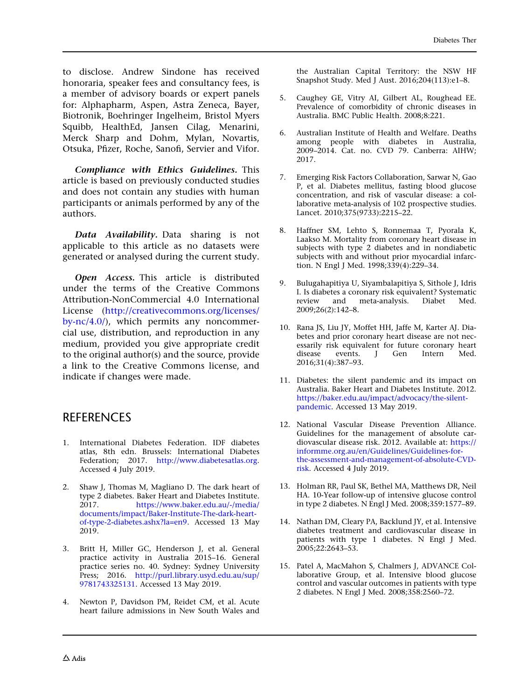<span id="page-15-0"></span>to disclose. Andrew Sindone has received honoraria, speaker fees and consultancy fees, is a member of advisory boards or expert panels for: Alphapharm, Aspen, Astra Zeneca, Bayer, Biotronik, Boehringer Ingelheim, Bristol Myers Squibb, HealthEd, Jansen Cilag, Menarini, Merck Sharp and Dohm, Mylan, Novartis, Otsuka, Pfizer, Roche, Sanofi, Servier and Vifor.

Compliance with Ethics Guidelines. This article is based on previously conducted studies and does not contain any studies with human participants or animals performed by any of the authors.

Data Availability. Data sharing is not applicable to this article as no datasets were generated or analysed during the current study.

Open Access. This article is distributed under the terms of the Creative Commons Attribution-NonCommercial 4.0 International License ([http://creativecommons.org/licenses/](http://creativecommons.org/licenses/by-nc/4.0/) [by-nc/4.0/](http://creativecommons.org/licenses/by-nc/4.0/)), which permits any noncommercial use, distribution, and reproduction in any medium, provided you give appropriate credit to the original author(s) and the source, provide a link to the Creative Commons license, and indicate if changes were made.

### REFERENCES

- 1. International Diabetes Federation. IDF diabetes atlas, 8th edn. Brussels: International Diabetes Federation; 2017. [http://www.diabetesatlas.org.](http://www.diabetesatlas.org) Accessed 4 July 2019.
- 2. Shaw J, Thomas M, Magliano D. The dark heart of type 2 diabetes. Baker Heart and Diabetes Institute. 2017. [https://www.baker.edu.au/-/media/](https://www.baker.edu.au/-/media/documents/impact/Baker-Institute-The-dark-heart-of-type-2-diabetes.ashx%3fla%3den9) [documents/impact/Baker-Institute-The-dark-heart](https://www.baker.edu.au/-/media/documents/impact/Baker-Institute-The-dark-heart-of-type-2-diabetes.ashx%3fla%3den9)[of-type-2-diabetes.ashx?la=en9.](https://www.baker.edu.au/-/media/documents/impact/Baker-Institute-The-dark-heart-of-type-2-diabetes.ashx%3fla%3den9) Accessed 13 May 2019.
- 3. Britt H, Miller GC, Henderson J, et al. General practice activity in Australia 2015–16. General practice series no. 40. Sydney: Sydney University Press; 2016. [http://purl.library.usyd.edu.au/sup/](http://purl.library.usyd.edu.au/sup/9781743325131) [9781743325131](http://purl.library.usyd.edu.au/sup/9781743325131). Accessed 13 May 2019.
- 4. Newton P, Davidson PM, Reidet CM, et al. Acute heart failure admissions in New South Wales and

the Australian Capital Territory: the NSW HF Snapshot Study. Med J Aust. 2016;204(113):e1–8.

- 5. Caughey GE, Vitry AI, Gilbert AL, Roughead EE. Prevalence of comorbidity of chronic diseases in Australia. BMC Public Health. 2008;8:221.
- 6. Australian Institute of Health and Welfare. Deaths among people with diabetes in Australia, 2009–2014. Cat. no. CVD 79. Canberra: AIHW; 2017.
- 7. Emerging Risk Factors Collaboration, Sarwar N, Gao P, et al. Diabetes mellitus, fasting blood glucose concentration, and risk of vascular disease: a collaborative meta-analysis of 102 prospective studies. Lancet. 2010;375(9733):2215–22.
- 8. Haffner SM, Lehto S, Ronnemaa T, Pyorala K, Laakso M. Mortality from coronary heart disease in subjects with type 2 diabetes and in nondiabetic subjects with and without prior myocardial infarction. N Engl J Med. 1998;339(4):229–34.
- 9. Bulugahapitiya U, Siyambalapitiya S, Sithole J, Idris I. Is diabetes a coronary risk equivalent? Systematic meta-analysis. Diabet Med. 2009;26(2):142–8.
- 10. Rana JS, Liu JY, Moffet HH, Jaffe M, Karter AJ. Diabetes and prior coronary heart disease are not necessarily risk equivalent for future coronary heart disease events. J Gen Intern Med. 2016;31(4):387–93.
- 11. Diabetes: the silent pandemic and its impact on Australia. Baker Heart and Diabetes Institute. 2012. [https://baker.edu.au/impact/advocacy/the-silent](https://baker.edu.au/impact/advocacy/the-silent-pandemic)[pandemic](https://baker.edu.au/impact/advocacy/the-silent-pandemic). Accessed 13 May 2019.
- 12. National Vascular Disease Prevention Alliance. Guidelines for the management of absolute cardiovascular disease risk. 2012. Available at: [https://](https://informme.org.au/en/Guidelines/Guidelines-for-the-assessment-and-management-of-absolute-CVD-risk) [informme.org.au/en/Guidelines/Guidelines-for](https://informme.org.au/en/Guidelines/Guidelines-for-the-assessment-and-management-of-absolute-CVD-risk)[the-assessment-and-management-of-absolute-CVD](https://informme.org.au/en/Guidelines/Guidelines-for-the-assessment-and-management-of-absolute-CVD-risk)[risk](https://informme.org.au/en/Guidelines/Guidelines-for-the-assessment-and-management-of-absolute-CVD-risk). Accessed 4 July 2019.
- 13. Holman RR, Paul SK, Bethel MA, Matthews DR, Neil HA. 10-Year follow-up of intensive glucose control in type 2 diabetes. N Engl J Med. 2008;359:1577–89.
- 14. Nathan DM, Cleary PA, Backlund JY, et al. Intensive diabetes treatment and cardiovascular disease in patients with type 1 diabetes. N Engl J Med. 2005;22:2643–53.
- 15. Patel A, MacMahon S, Chalmers J, ADVANCE Collaborative Group, et al. Intensive blood glucose control and vascular outcomes in patients with type 2 diabetes. N Engl J Med. 2008;358:2560–72.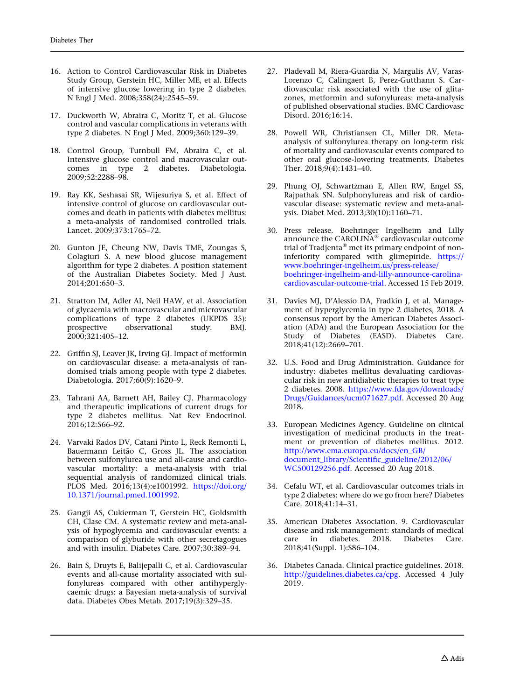- <span id="page-16-0"></span>16. Action to Control Cardiovascular Risk in Diabetes Study Group, Gerstein HC, Miller ME, et al. Effects of intensive glucose lowering in type 2 diabetes. N Engl J Med. 2008;358(24):2545–59.
- 17. Duckworth W, Abraira C, Moritz T, et al. Glucose control and vascular complications in veterans with type 2 diabetes. N Engl J Med. 2009;360:129–39.
- 18. Control Group, Turnbull FM, Abraira C, et al. Intensive glucose control and macrovascular outcomes in type 2 diabetes. Diabetologia. 2009;52:2288–98.
- 19. Ray KK, Seshasai SR, Wijesuriya S, et al. Effect of intensive control of glucose on cardiovascular outcomes and death in patients with diabetes mellitus: a meta-analysis of randomised controlled trials. Lancet. 2009;373:1765–72.
- 20. Gunton JE, Cheung NW, Davis TME, Zoungas S, Colagiuri S. A new blood glucose management algorithm for type 2 diabetes. A position statement of the Australian Diabetes Society. Med J Aust. 2014;201:650–3.
- 21. Stratton IM, Adler AI, Neil HAW, et al. Association of glycaemia with macrovascular and microvascular complications of type 2 diabetes (UKPDS 35): prospective observational study. BMJ. 2000;321:405–12.
- 22. Griffin SJ, Leaver JK, Irving GJ. Impact of metformin on cardiovascular disease: a meta-analysis of randomised trials among people with type 2 diabetes. Diabetologia. 2017;60(9):1620-9.
- 23. Tahrani AA, Barnett AH, Bailey CJ. Pharmacology and therapeutic implications of current drugs for type 2 diabetes mellitus. Nat Rev Endocrinol. 2016;12:566–92.
- 24. Varvaki Rados DV, Catani Pinto L, Reck Remonti L, Bauermann Leitão C, Gross JL. The association between sulfonylurea use and all-cause and cardiovascular mortality: a meta-analysis with trial sequential analysis of randomized clinical trials. PLOS Med. 2016;13(4):e1001992. [https://doi.org/](https://doi.org/10.1371/journal.pmed.1001992) [10.1371/journal.pmed.1001992.](https://doi.org/10.1371/journal.pmed.1001992)
- 25. Gangji AS, Cukierman T, Gerstein HC, Goldsmith CH, Clase CM. A systematic review and meta-analysis of hypoglycemia and cardiovascular events: a comparison of glyburide with other secretagogues and with insulin. Diabetes Care. 2007;30:389–94.
- 26. Bain S, Druyts E, Balijepalli C, et al. Cardiovascular events and all-cause mortality associated with sulfonylureas compared with other antihyperglycaemic drugs: a Bayesian meta-analysis of survival data. Diabetes Obes Metab. 2017;19(3):329–35.
- 27. Pladevall M, Riera-Guardia N, Margulis AV, Varas-Lorenzo C, Calingaert B, Perez-Gutthann S. Cardiovascular risk associated with the use of glitazones, metformin and sufonylureas: meta-analysis of published observational studies. BMC Cardiovasc Disord. 2016;16:14.
- 28. Powell WR, Christiansen CL, Miller DR. Metaanalysis of sulfonylurea therapy on long-term risk of mortality and cardiovascular events compared to other oral glucose-lowering treatments. Diabetes Ther.  $2018;9(4):1431-40$ .
- 29. Phung OJ, Schwartzman E, Allen RW, Engel SS, Rajpathak SN. Sulphonylureas and risk of cardiovascular disease: systematic review and meta-analysis. Diabet Med. 2013;30(10):1160–71.
- 30. Press release. Boehringer Ingelheim and Lilly announce the CAROLINA<sup>®</sup> cardiovascular outcome trial of Tradjenta® met its primary endpoint of noninferiority compared with glimepiride. [https://](https://www.boehringer-ingelheim.us/press-release/boehringer-ingelheim-and-lilly-announce-carolina-cardiovascular-outcome-trial) [www.boehringer-ingelheim.us/press-release/](https://www.boehringer-ingelheim.us/press-release/boehringer-ingelheim-and-lilly-announce-carolina-cardiovascular-outcome-trial) [boehringer-ingelheim-and-lilly-announce-carolina](https://www.boehringer-ingelheim.us/press-release/boehringer-ingelheim-and-lilly-announce-carolina-cardiovascular-outcome-trial)[cardiovascular-outcome-trial](https://www.boehringer-ingelheim.us/press-release/boehringer-ingelheim-and-lilly-announce-carolina-cardiovascular-outcome-trial). Accessed 15 Feb 2019.
- 31. Davies MJ, D'Alessio DA, Fradkin J, et al. Management of hyperglycemia in type 2 diabetes, 2018. A consensus report by the American Diabetes Association (ADA) and the European Association for the Study of Diabetes (EASD). Diabetes Care. 2018;41(12):2669–701.
- 32. U.S. Food and Drug Administration. Guidance for industry: diabetes mellitus devaluating cardiovascular risk in new antidiabetic therapies to treat type 2 diabetes. 2008. [https://www.fda.gov/downloads/](https://www.fda.gov/downloads/Drugs/Guidances/ucm071627.pdf) [Drugs/Guidances/ucm071627.pdf](https://www.fda.gov/downloads/Drugs/Guidances/ucm071627.pdf). Accessed 20 Aug 2018.
- 33. European Medicines Agency. Guideline on clinical investigation of medicinal products in the treatment or prevention of diabetes mellitus. 2012. [http://www.ema.europa.eu/docs/en\\_GB/](http://www.ema.europa.eu/docs/en_GB/document_library/Scientific_guideline/2012/06/WC500129256.pdf) [document\\_library/Scientific\\_guideline/2012/06/](http://www.ema.europa.eu/docs/en_GB/document_library/Scientific_guideline/2012/06/WC500129256.pdf) [WC500129256.pdf.](http://www.ema.europa.eu/docs/en_GB/document_library/Scientific_guideline/2012/06/WC500129256.pdf) Accessed 20 Aug 2018.
- 34. Cefalu WT, et al. Cardiovascular outcomes trials in type 2 diabetes: where do we go from here? Diabetes Care. 2018;41:14–31.
- 35. American Diabetes Association. 9. Cardiovascular disease and risk management: standards of medical<br>care in diabetes. 2018. Diabetes Care. diabetes. 2018;41(Suppl. 1):S86–104.
- 36. Diabetes Canada. Clinical practice guidelines. 2018. <http://guidelines.diabetes.ca/cpg>. Accessed 4 July 2019.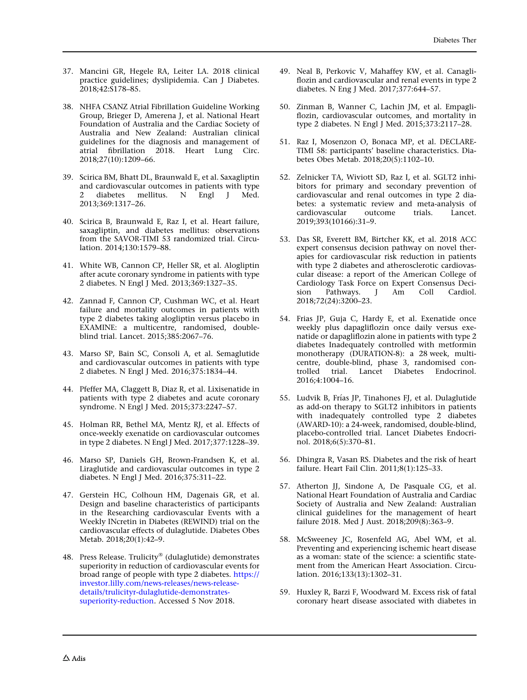- <span id="page-17-0"></span>37. Mancini GR, Hegele RA, Leiter LA. 2018 clinical practice guidelines; dyslipidemia. Can J Diabetes. 2018;42:S178–85.
- 38. NHFA CSANZ Atrial Fibrillation Guideline Working Group, Brieger D, Amerena J, et al. National Heart Foundation of Australia and the Cardiac Society of Australia and New Zealand: Australian clinical guidelines for the diagnosis and management of atrial fibrillation 2018. Heart Lung Circ. 2018;27(10):1209–66.
- 39. Scirica BM, Bhatt DL, Braunwald E, et al. Saxagliptin and cardiovascular outcomes in patients with type 2 diabetes mellitus. N Engl J Med. 2013;369:1317–26.
- 40. Scirica B, Braunwald E, Raz I, et al. Heart failure, saxagliptin, and diabetes mellitus: observations from the SAVOR-TIMI 53 randomized trial. Circulation. 2014;130:1579–88.
- 41. White WB, Cannon CP, Heller SR, et al. Alogliptin after acute coronary syndrome in patients with type 2 diabetes. N Engl J Med. 2013;369:1327–35.
- 42. Zannad F, Cannon CP, Cushman WC, et al. Heart failure and mortality outcomes in patients with type 2 diabetes taking alogliptin versus placebo in EXAMINE: a multicentre, randomised, doubleblind trial. Lancet. 2015;385:2067–76.
- 43. Marso SP, Bain SC, Consoli A, et al. Semaglutide and cardiovascular outcomes in patients with type 2 diabetes. N Engl J Med. 2016;375:1834–44.
- 44. Pfeffer MA, Claggett B, Diaz R, et al. Lixisenatide in patients with type 2 diabetes and acute coronary syndrome. N Engl J Med. 2015;373:2247–57.
- 45. Holman RR, Bethel MA, Mentz RJ, et al. Effects of once-weekly exenatide on cardiovascular outcomes in type 2 diabetes. N Engl J Med. 2017;377:1228–39.
- 46. Marso SP, Daniels GH, Brown-Frandsen K, et al. Liraglutide and cardiovascular outcomes in type 2 diabetes. N Engl J Med. 2016;375:311–22.
- 47. Gerstein HC, Colhoun HM, Dagenais GR, et al. Design and baseline characteristics of participants in the Researching cardiovascular Events with a Weekly INcretin in Diabetes (REWIND) trial on the cardiovascular effects of dulaglutide. Diabetes Obes Metab. 2018;20(1):42–9.
- 48. Press Release. Trulicity<sup>®</sup> (dulaglutide) demonstrates superiority in reduction of cardiovascular events for broad range of people with type 2 diabetes. [https://](https://investor.lilly.com/news-releases/news-release-details/trulicityr-dulaglutide-demonstrates-superiority-reduction) [investor.lilly.com/news-releases/news-release](https://investor.lilly.com/news-releases/news-release-details/trulicityr-dulaglutide-demonstrates-superiority-reduction)[details/trulicityr-dulaglutide-demonstrates](https://investor.lilly.com/news-releases/news-release-details/trulicityr-dulaglutide-demonstrates-superiority-reduction)[superiority-reduction.](https://investor.lilly.com/news-releases/news-release-details/trulicityr-dulaglutide-demonstrates-superiority-reduction) Accessed 5 Nov 2018.
- 49. Neal B, Perkovic V, Mahaffey KW, et al. Canagliflozin and cardiovascular and renal events in type 2 diabetes. N Eng J Med. 2017;377:644–57.
- 50. Zinman B, Wanner C, Lachin JM, et al. Empagliflozin, cardiovascular outcomes, and mortality in type 2 diabetes. N Engl J Med. 2015;373:2117–28.
- 51. Raz I, Mosenzon O, Bonaca MP, et al. DECLARE-TIMI 58: participants' baseline characteristics. Diabetes Obes Metab. 2018;20(5):1102–10.
- 52. Zelnicker TA, Wiviott SD, Raz I, et al. SGLT2 inhibitors for primary and secondary prevention of cardiovascular and renal outcomes in type 2 diabetes: a systematic review and meta-analysis of cardiovascular outcome trials. Lancet. cardiovascular 2019;393(10166):31–9.
- 53. Das SR, Everett BM, Birtcher KK, et al. 2018 ACC expert consensus decision pathway on novel therapies for cardiovascular risk reduction in patients with type 2 diabetes and atherosclerotic cardiovascular disease: a report of the American College of Cardiology Task Force on Expert Consensus Decision Pathways. J Am Coll Cardiol. 2018;72(24):3200–23.
- 54. Frias JP, Guja C, Hardy E, et al. Exenatide once weekly plus dapagliflozin once daily versus exenatide or dapagliflozin alone in patients with type 2 diabetes Inadequately controlled with metformin monotherapy (DURATION-8): a 28 week, multicentre, double-blind, phase 3, randomised controlled trial. Lancet Diabetes Endocrinol. 2016;4:1004–16.
- 55. Ludvik B, Frías JP, Tinahones FJ, et al. Dulaglutide as add-on therapy to SGLT2 inhibitors in patients with inadequately controlled type 2 diabetes (AWARD-10): a 24-week, randomised, double-blind, placebo-controlled trial. Lancet Diabetes Endocrinol. 2018;6(5):370–81.
- 56. Dhingra R, Vasan RS. Diabetes and the risk of heart failure. Heart Fail Clin. 2011;8(1):125–33.
- 57. Atherton JJ, Sindone A, De Pasquale CG, et al. National Heart Foundation of Australia and Cardiac Society of Australia and New Zealand: Australian clinical guidelines for the management of heart failure 2018. Med J Aust. 2018;209(8):363–9.
- 58. McSweeney JC, Rosenfeld AG, Abel WM, et al. Preventing and experiencing ischemic heart disease as a woman: state of the science: a scientific statement from the American Heart Association. Circulation. 2016;133(13):1302–31.
- 59. Huxley R, Barzi F, Woodward M. Excess risk of fatal coronary heart disease associated with diabetes in